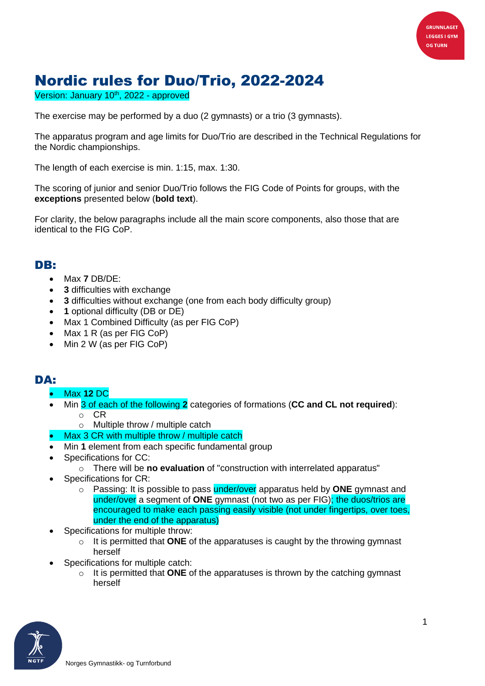

## Nordic rules for Duo/Trio, 2022-2024

Version: January 10<sup>th</sup>, 2022 - approved

The exercise may be performed by a duo (2 gymnasts) or a trio (3 gymnasts).

The apparatus program and age limits for Duo/Trio are described in the Technical Regulations for the Nordic championships.

The length of each exercise is min. 1:15, max. 1:30.

The scoring of junior and senior Duo/Trio follows the FIG Code of Points for groups, with the **exceptions** presented below (**bold text**).

For clarity, the below paragraphs include all the main score components, also those that are identical to the FIG CoP.

## DB:

- Max **7** DB/DE:
- **3** difficulties with exchange
- **3** difficulties without exchange (one from each body difficulty group)
- **1** optional difficulty (DB or DE)
- Max 1 Combined Difficulty (as per FIG CoP)
- Max 1 R (as per FIG CoP)
- Min 2 W (as per FIG CoP)

## DA:

- Max **12** DC
- Min 3 of each of the following **2** categories of formations (**CC and CL not required**):
	- o CR
	- o Multiple throw / multiple catch
- Max 3 CR with multiple throw / multiple catch
- Min **1** element from each specific fundamental group
- Specifications for CC:
	- o There will be **no evaluation** of "construction with interrelated apparatus"
- Specifications for CR:
	- o Passing: It is possible to pass under/over apparatus held by **ONE** gymnast and under/over a segment of **ONE** gymnast (not two as per FIG); the duos/trios are encouraged to make each passing easily visible (not under fingertips, over toes, under the end of the apparatus)
- Specifications for multiple throw:
	- o It is permitted that **ONE** of the apparatuses is caught by the throwing gymnast herself
- Specifications for multiple catch:
	- o It is permitted that **ONE** of the apparatuses is thrown by the catching gymnast herself

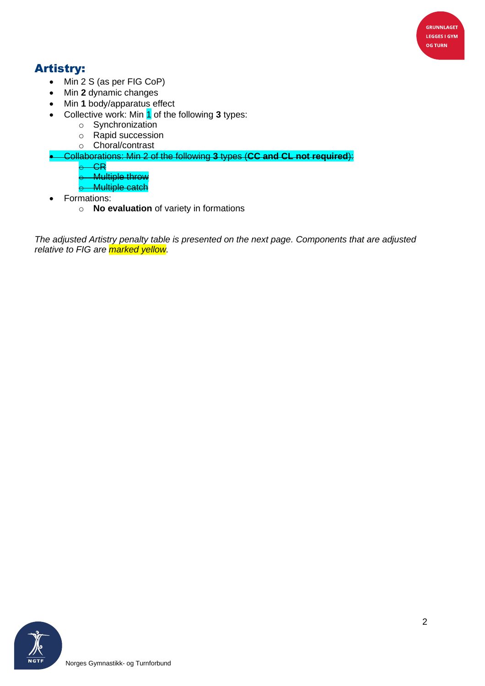

## Artistry:

- Min 2 S (as per FIG CoP)
- Min **2** dynamic changes
- Min **1** body/apparatus effect
- Collective work: Min 1 of the following **3** types:
	- o Synchronization
	- o Rapid succession
	- o Choral/contrast
- Collaborations: Min 2 of the following **3** types (**CC and CL not required**):
	- $-$ CR $-$
	- **Multiple throw**
	- o Multiple catch
- Formations:
	- o **No evaluation** of variety in formations

*The adjusted Artistry penalty table is presented on the next page. Components that are adjusted relative to FIG are marked yellow.*

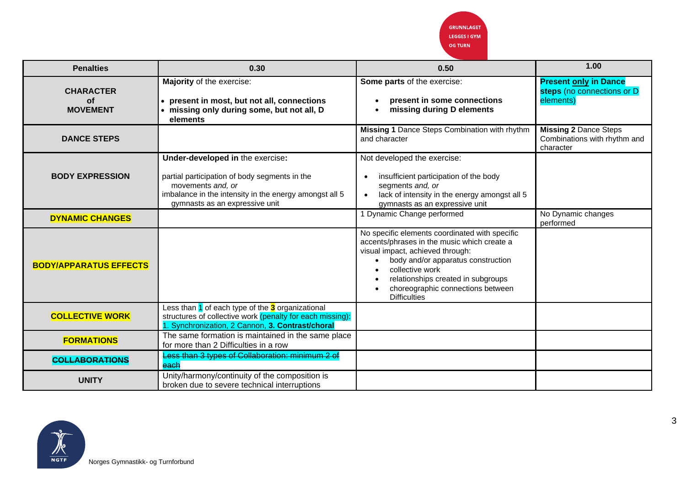**GRUNNLAGET LEGGES I GYM OG TURN** 

| <b>Penalties</b>                                 | 0.30                                                                                                                                                                                               | 0.50                                                                                                                                                                                                                                                                                         | 1.00                                                                      |
|--------------------------------------------------|----------------------------------------------------------------------------------------------------------------------------------------------------------------------------------------------------|----------------------------------------------------------------------------------------------------------------------------------------------------------------------------------------------------------------------------------------------------------------------------------------------|---------------------------------------------------------------------------|
| <b>CHARACTER</b><br><b>of</b><br><b>MOVEMENT</b> | Majority of the exercise:<br>present in most, but not all, connections<br>missing only during some, but not all, D<br>elements                                                                     | Some parts of the exercise:<br>present in some connections<br>missing during D elements                                                                                                                                                                                                      | <b>Present only in Dance</b><br>steps (no connections or D<br>elements)   |
| <b>DANCE STEPS</b>                               |                                                                                                                                                                                                    | Missing 1 Dance Steps Combination with rhythm<br>and character                                                                                                                                                                                                                               | <b>Missing 2 Dance Steps</b><br>Combinations with rhythm and<br>character |
| <b>BODY EXPRESSION</b>                           | Under-developed in the exercise:<br>partial participation of body segments in the<br>movements and, or<br>imbalance in the intensity in the energy amongst all 5<br>gymnasts as an expressive unit | Not developed the exercise:<br>insufficient participation of the body<br>segments and, or<br>lack of intensity in the energy amongst all 5<br>gymnasts as an expressive unit                                                                                                                 |                                                                           |
| <b>DYNAMIC CHANGES</b>                           |                                                                                                                                                                                                    | 1 Dynamic Change performed                                                                                                                                                                                                                                                                   | No Dynamic changes<br>performed                                           |
| <b>BODY/APPARATUS EFFECTS</b>                    |                                                                                                                                                                                                    | No specific elements coordinated with specific<br>accents/phrases in the music which create a<br>visual impact, achieved through:<br>body and/or apparatus construction<br>collective work<br>relationships created in subgroups<br>choreographic connections between<br><b>Difficulties</b> |                                                                           |
| <b>COLLECTIVE WORK</b>                           | Less than 1 of each type of the 3 organizational<br>structures of collective work (penalty for each missing):<br>1. Synchronization, 2 Cannon, 3. Contrast/choral                                  |                                                                                                                                                                                                                                                                                              |                                                                           |
| <b>FORMATIONS</b>                                | The same formation is maintained in the same place<br>for more than 2 Difficulties in a row                                                                                                        |                                                                                                                                                                                                                                                                                              |                                                                           |
| <b>COLLABORATIONS</b>                            | Less than 3 types of Collaboration: minimum 2 of<br>each                                                                                                                                           |                                                                                                                                                                                                                                                                                              |                                                                           |
| <b>UNITY</b>                                     | Unity/harmony/continuity of the composition is<br>broken due to severe technical interruptions                                                                                                     |                                                                                                                                                                                                                                                                                              |                                                                           |